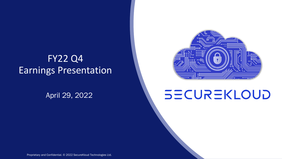## FY22 Q4 Earnings Presentation

April 29, 2022



# **SECUREKLOUD**

Proprietary and Confidential. © 2022 SecureKloud Technologies Ltd.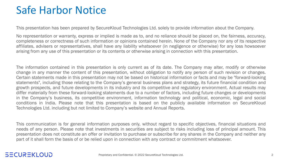## Safe Harbor Notice

This presentation has been prepared by SecureKloud Technologies Ltd. solely to provide information about the Company.

No representation or warranty, express or implied is made as to, and no reliance should be placed on, the fairness, accuracy, completeness or correctness of such information or opinions contained herein. None of the Company nor any of its respective affiliates, advisers or representatives, shall have any liability whatsoever (in negligence or otherwise) for any loss howsoever arising from any use of this presentation or its contents or otherwise arising in connection with this presentation.

The information contained in this presentation is only current as of its date. The Company may alter, modify or otherwise change in any manner the content of this presentation, without obligation to notify any person of such revision or changes. Certain statements made in this presentation may not be based on historical information or facts and may be "forward-looking statements", including those relating to the Company's general business plans and strategy, its future financial condition and growth prospects, and future developments in its industry and its competitive and regulatory environment. Actual results may differ materially from these forward-looking statements due to a number of factors, including future changes or developments in the Company's business, its competitive environment, information technology and political, economic, legal and social conditions in India. Please note that this presentation is based on the publicly available information on SecureKloud Technologies Ltd. including but not limited to Company's website and Annual Reports.

This communication is for general information purposes only, without regard to specific objectives, financial situations and needs of any person. Please note that investments in securities are subject to risks including loss of principal amount. This presentation does not constitute an offer or invitation to purchase or subscribe for any shares in the Company and neither any part of it shall form the basis of or be relied upon in connection with any contract or commitment whatsoever.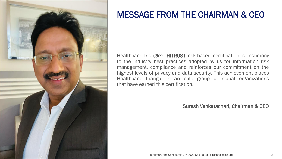

### MESSAGE FROM THE CHAIRMAN & CEO

Healthcare Triangle's HITRUST risk-based certification is testimony to the industry best practices adopted by us for information risk management, compliance and reinforces our commitment on the highest levels of privacy and data security. This achievement places Healthcare Triangle in an elite group of global organizations that have earned this certification.

Suresh Venkatachari, Chairman & CEO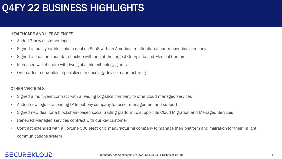## Q4FY 22 BUSINESS HIGHLIGHTS

#### HEALTHCARE AND LIFE SCIENCES

- Added 3 new customer logos
- Signed a multi-year blockchain deal on SaaS with an American multinational pharmaceutical company
- Signed a deal for cloud data backup with one of the largest Georgia-based Medical Centers
- Increased wallet share with two global biotechnology giants
- Onboarded a new client specialized in oncology device manufacturing

#### OTHER VERTICALS

- Signed a multi-year contract with a leading Logistics company to offer cloud managed services
- Added new logo of a leading IP telephony company for asset management and support
- Signed new deal for a blockchain-based social trading platform to support its Cloud Migration and Managed Services
- Renewed Managed services contract with our key customer
- Contract extended with a Fortune 500 electronic manufacturing company to manage their platform and migration for their inflight communications system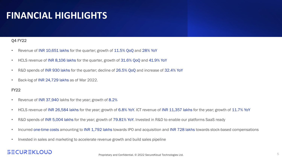## **FINANCIAL HIGHLIGHTS**

#### Q4 FY22

- Revenue of INR 10,651 lakhs for the quarter; growth of 11.5% QoQ and 28% YoY
- HCLS revenue of INR 8,106 lakhs for the quarter, growth of 31.6% QoQ and 41.9% YoY
- R&D spends of INR 930 lakhs for the quarter; decline of 26.5% QoQ and increase of 32.4% YoY
- Back-log of INR 24,729 lakhs as of Mar 2022.

#### FY22

- Revenue of INR 37,940 lakhs for the year; growth of 8.2%
- HCLS revenue of INR 26,584 lakhs for the year; growth of 6.8% YoY. ICT revenue of INR 11,357 lakhs for the year; growth of 11.7% YoY
- R&D spends of INR 5,004 lakhs for the year; growth of 79.81% YoY. Invested in R&D to enable our platforms SaaS ready
- Incurred one-time costs amounting to INR 1,792 lakhs towards IPO and acquisition and INR 728 lakhs towards stock-based compensations
- Invested in sales and marketing to accelerate revenue growth and build sales pipeline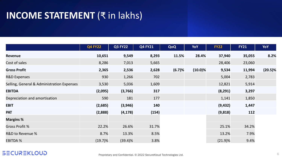## **INCOME STATEMENT** (₹ in lakhs)

|                                            | <b>Q4 FY22</b> | <b>Q3 FY22</b> | <b>Q4 FY21</b> | QoQ    | <b>YoY</b> | <b>FY22</b> | <b>FY21</b> | YoY        |
|--------------------------------------------|----------------|----------------|----------------|--------|------------|-------------|-------------|------------|
| Revenue                                    | 10,651         | 9,549          | 8,293          | 11.5%  | 28.4%      | 37,940      | 35,055      | 8.2%       |
| Cost of sales                              | 8,286          | 7,013          | 5,665          |        |            | 28,406      | 23,060      |            |
| <b>Gross Profit</b>                        | 2,365          | 2,536          | 2,628          | (6.7)% | $(10.0)\%$ | 9,534       | 11,994      | $(20.5)\%$ |
| <b>R&amp;D Expenses</b>                    | 930            | 1,266          | 702            |        |            | 5,004       | 2,783       |            |
| Selling, General & Administration Expenses | 3,530          | 5,036          | 1,609          |        |            | 12,821      | 5,914       |            |
| <b>EBITDA</b>                              | (2,095)        | (3,766)        | 317            |        |            | (8, 291)    | 3,297       |            |
| Depreciation and amortisation              | 590            | 181            | 177            |        |            | 1,141       | 1,850       |            |
| <b>EBIT</b>                                | (2,685)        | (3,946)        | 140            |        |            | (9, 432)    | 1,447       |            |
| <b>PAT</b>                                 | (2,888)        | (4, 178)       | (154)          |        |            | (9,818)     | 112         |            |
| <b>Margins %</b>                           |                |                |                |        |            |             |             |            |
| <b>Gross Profit %</b>                      | 22.2%          | 26.6%          | 31.7%          |        |            | 25.1%       | 34.2%       |            |
| R&D to Revenue %                           | 8.7%           | 13.3%          | 8.5%           |        |            | 13.2%       | 7.9%        |            |
| <b>EBITDA %</b>                            | $(19.7)\%$     | $(39.4)\%$     | 3.8%           |        |            | $(21.9)\%$  | 9.4%        |            |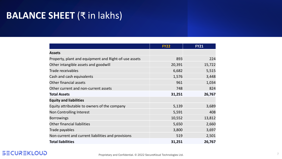## **BALANCE SHEET** (₹ in lakhs)

|                                                       | <b>FY22</b> | <b>FY21</b> |
|-------------------------------------------------------|-------------|-------------|
| <b>Assets</b>                                         |             |             |
| Property, plant and equipment and Right-of-use assets | 893         | 224         |
| Other intangible assets and goodwill                  | 20,391      | 15,722      |
| <b>Trade receivables</b>                              | 6,682       | 5,515       |
| Cash and cash equivalents                             | 1,576       | 3,448       |
| Other financial assets                                | 961         | 1,034       |
| Other current and non-current assets                  | 748         | 824         |
| <b>Total Assets</b>                                   | 31,251      | 26,767      |
| <b>Equity and liabilities</b>                         |             |             |
| Equity attributable to owners of the company          | 5,139       | 3,689       |
| Non Controlling Interest                              | 5,591       | 408         |
| <b>Borrowings</b>                                     | 10,552      | 13,812      |
| Other financial liabilities                           | 5,650       | 2,660       |
| Trade payables                                        | 3,800       | 3,697       |
| Non-current and current liabilities and provisions    | 519         | 2,501       |
| <b>Total liabilities</b>                              | 31,251      | 26,767      |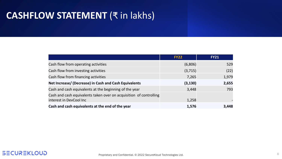## **CASHFLOW STATEMENT** (₹ in lakhs)

|                                                                    | <b>FY22</b> | <b>FY21</b> |
|--------------------------------------------------------------------|-------------|-------------|
| Cash flow from operating activities                                | (6,806)     | 529         |
| Cash flow from investing activities                                | (3, 715)    | (22)        |
| Cash flow from financing activities                                | 7,265       | 1,979       |
| Net Increase/ (Decrease) in Cash and Cash Equivalents              | (3, 130)    | 2,655       |
| Cash and cash equivalents at the beginning of the year             | 3,448       | 793         |
| Cash and cash equivalents taken over on acquisition of controlling |             |             |
| interest in DevCool Inc                                            | 1,258       |             |
| Cash and cash equivalents at the end of the year                   | 1,576       | 3,448       |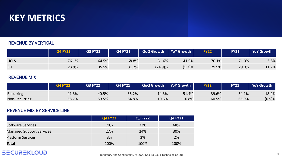

#### REVENUE BY VERTICAL

|             | <b>Q4 FY22</b> | <b>Q3 FY22</b> | <b>Q4 FY21</b> | <b>QoQ Growth</b> | <b>YoY Growth</b> | <b>FY22</b> | <b>FY21</b> | YoY Growth |
|-------------|----------------|----------------|----------------|-------------------|-------------------|-------------|-------------|------------|
| <b>HCLS</b> | 76.1%          | 64.5%          | 68.8%          | 31.6%             | 41.9%             | 70.1%       | 71.0%       | 6.8%       |
| <b>ICT</b>  | 23.9%          | 35.5%          | 31.2%          | $(24.9)\%$        | (1.7)%            | 29.9%       | 29.0%       | 11.7%      |

#### REVENUE MIX

|               | <b>Q4 FY22</b> | Q3 FY22 | Q4 FY21 | <b>QoQ Growth</b> | <b>YoY Growth</b> | <b>FY22</b> | <b>FY21</b> | <b>YoY Growth</b> |
|---------------|----------------|---------|---------|-------------------|-------------------|-------------|-------------|-------------------|
| Recurring     | 41.3%          | 40.5%   | 35.2%   | 14.3%             | 51.4%             | 39.6%       | 34.1%       | 18.4%             |
| Non-Recurring | 58.7%          | 59.5%   | 64.8%   | 10.6%             | 16.8%             | 60.5%       | 65.9%       | (6.5)%            |

#### REVENUE MIX BY SERVICE LINE

|                                 | <b>Q4 FY22</b> | <b>Q3 FY22</b> | <b>Q4 FY21</b> |
|---------------------------------|----------------|----------------|----------------|
| <b>Software Services</b>        | 70%            | 73%            | 68%            |
| <b>Managed Support Services</b> | 27%            | 24%            | 30%            |
| <b>Platform Services</b>        | 3%             | 3%             | 2%             |
| <b>Total</b>                    | 100%           | 100%           | 100%           |

### **SECUREKLOUD**

Proprietary and Confidential. © 2022 SecureKloud Technologies Ltd.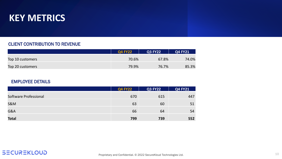

#### CLIENT CONTRIBUTION TO REVENUE

|                  | <b>Q4 FY22</b> | <b>Q3 FY22</b> | <b>Q4 FY21</b> |
|------------------|----------------|----------------|----------------|
| Top 10 customers | 70.6%          | 67.8%          | 74.0%          |
| Top 20 customers | 79.9%          | 76.7%          | 85.3%          |

#### EMPLOYEE DETAILS

|                       | <b>Q4 FY22</b> | <b>Q3 FY22</b> | <b>Q4 FY21</b> |
|-----------------------|----------------|----------------|----------------|
| Software Professional | 670            | 615            | 447            |
| <b>S&amp;M</b>        | 63             | 60             | 51             |
| G&A                   | 66             | 64             | 54             |
| <b>Total</b>          | 799            | 739            | 552            |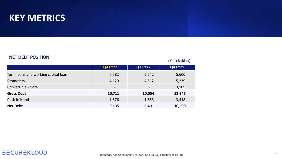### **KEY METRICS**

#### NET DEBT POSITION

|                                     |                          |                          | $(\bar{\bar{\mathbf{x}}}$ in lakhs) |
|-------------------------------------|--------------------------|--------------------------|-------------------------------------|
|                                     | <b>Q4 FY22</b>           | <b>Q3 FY22</b>           | <b>Q4 FY21</b>                      |
| Term loans and working capital loan | 6,582                    | 5,542                    | 5,600                               |
| <b>Promoters</b>                    | 4,129                    | 4,512                    | 5,239                               |
| Convertible - Note                  | $\overline{\phantom{a}}$ | $\overline{\phantom{a}}$ | 3,109                               |
| <b>Gross Debt</b>                   | 10,711                   | 10,054                   | 13,947                              |
| Cash in Hand                        | 1,576                    | 1,653                    | 3,448                               |
| <b>Net Debt</b>                     | 9,135                    | 8,401                    | 10,500                              |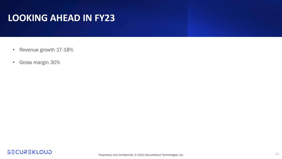## **LOOKING AHEAD IN FY23**

- Revenue growth 17-18%
- Gross margin 30%